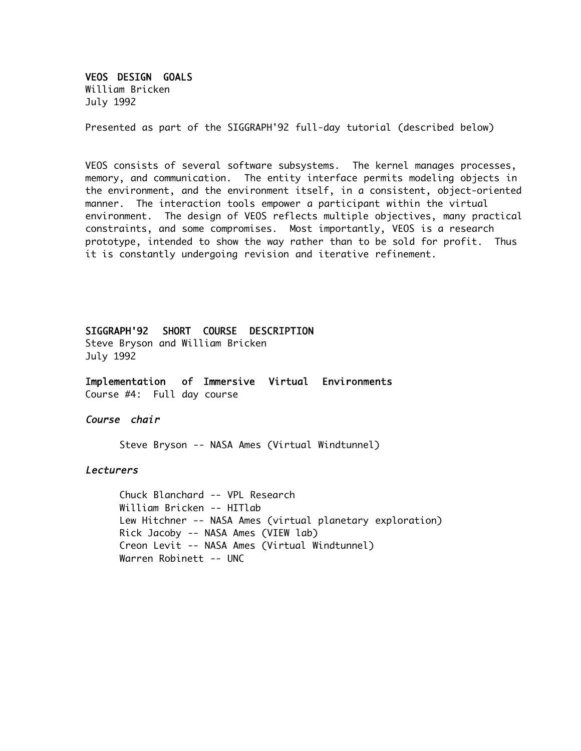VEOS DESIGN GOALS

William Bricken July 1992

Presented as part of the SIGGRAPH'92 full-day tutorial (described below)

VEOS consists of several software subsystems. The kernel manages processes, memory, and communication. The entity interface permits modeling objects in the environment, and the environment itself, in a consistent, object-oriented manner. The interaction tools empower a participant within the virtual environment. The design of VEOS reflects multiple objectives, many practical constraints, and some compromises. Most importantly, VEOS is a research prototype, intended to show the way rather than to be sold for profit. Thus it is constantly undergoing revision and iterative refinement.

SIGGRAPH'92 SHORT COURSE DESCRIPTION

Steve Bryson and William Bricken July 1992

Implementation of Immersive Virtual Environments Course #4: Full day course

#### Course chair

Steve Bryson -- NASA Ames (Virtual Windtunnel)

#### Lecturers

Chuck Blanchard -- VPL Research William Bricken -- HITlab Lew Hitchner -- NASA Ames (virtual planetary exploration) Rick Jacoby -- NASA Ames (VIEW lab) Creon Levit -- NASA Ames (Virtual Windtunnel) Warren Robinett -- UNC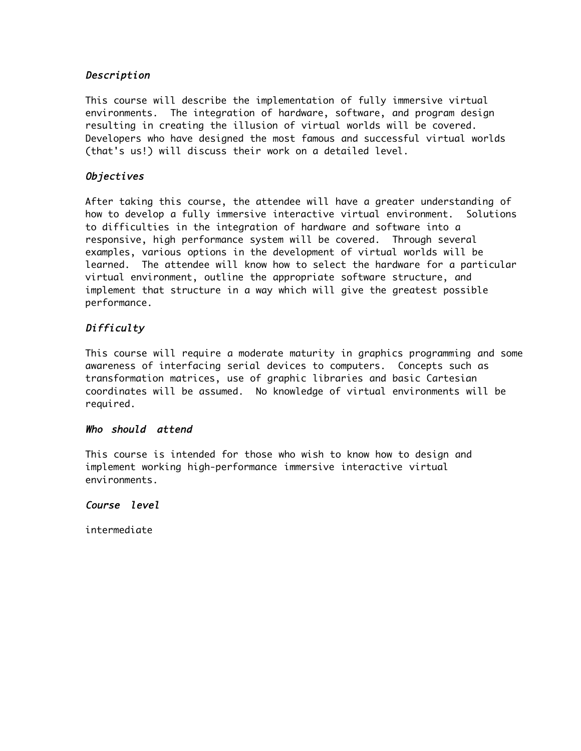# Description

This course will describe the implementation of fully immersive virtual environments. The integration of hardware, software, and program design resulting in creating the illusion of virtual worlds will be covered. Developers who have designed the most famous and successful virtual worlds (that's us!) will discuss their work on a detailed level.

## Objectives

After taking this course, the attendee will have a greater understanding of how to develop a fully immersive interactive virtual environment. Solutions to difficulties in the integration of hardware and software into a responsive, high performance system will be covered. Through several examples, various options in the development of virtual worlds will be learned. The attendee will know how to select the hardware for a particular virtual environment, outline the appropriate software structure, and implement that structure in a way which will give the greatest possible performance.

# Difficulty

This course will require a moderate maturity in graphics programming and some awareness of interfacing serial devices to computers. Concepts such as transformation matrices, use of graphic libraries and basic Cartesian coordinates will be assumed. No knowledge of virtual environments will be required.

## Who should attend

This course is intended for those who wish to know how to design and implement working high-performance immersive interactive virtual environments.

## Course level

intermediate